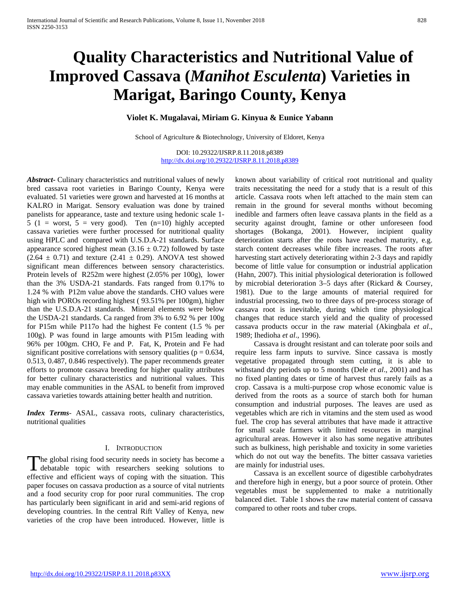# **Quality Characteristics and Nutritional Value of Improved Cassava (***Manihot Esculenta***) Varieties in Marigat, Baringo County, Kenya**

## **Violet K. Mugalavai, Miriam G. Kinyua & Eunice Yabann**

School of Agriculture & Biotechnology, University of Eldoret, Kenya

DOI: 10.29322/IJSRP.8.11.2018.p8389 <http://dx.doi.org/10.29322/IJSRP.8.11.2018.p8389>

*Abstract***-** Culinary characteristics and nutritional values of newly bred cassava root varieties in Baringo County, Kenya were evaluated. 51 varieties were grown and harvested at 16 months at KALRO in Marigat. Sensory evaluation was done by trained panelists for appearance, taste and texture using hedonic scale 1- 5 (1 = worst, 5 = very good). Ten  $(n=10)$  highly accepted cassava varieties were further processed for nutritional quality using HPLC and compared with U.S.D.A-21 standards. Surface appearance scored highest mean  $(3.16 \pm 0.72)$  followed by taste  $(2.64 \pm 0.71)$  and texture  $(2.41 \pm 0.29)$ . ANOVA test showed significant mean differences between sensory characteristics. Protein levels of R252m were highest (2.05% per 100g), lower than the 3% USDA-21 standards. Fats ranged from 0.17% to 1.24 % with P12m value above the standards. CHO values were high with POROs recording highest ( 93.51% per 100gm), higher than the U.S.D.A-21 standards. Mineral elements were below the USDA-21 standards. Ca ranged from 3% to 6.92 % per 100g for P15m while P117o had the highest Fe content (1.5 % per 100g). P was found in large amounts with P15m leading with 96% per 100gm. CHO, Fe and P. Fat, K, Protein and Fe had significant positive correlations with sensory qualities ( $p = 0.634$ , 0.513, 0.487, 0.846 respectively). The paper recommends greater efforts to promote cassava breeding for higher quality attributes for better culinary characteristics and nutritional values. This may enable communities in the ASAL to benefit from improved cassava varieties towards attaining better health and nutrition.

*Index Terms*- ASAL, cassava roots, culinary characteristics, nutritional qualities

#### I. INTRODUCTION

The global rising food security needs in society has become a The global rising food security needs in society has become a debatable topic with researchers seeking solutions to effective and efficient ways of coping with the situation. This paper focuses on cassava production as a source of vital nutrients and a food security crop for poor rural communities. The crop has particularly been significant in arid and semi-arid regions of developing countries. In the central Rift Valley of Kenya, new varieties of the crop have been introduced. However, little is

known about variability of critical root nutritional and quality traits necessitating the need for a study that is a result of this article. Cassava roots when left attached to the main stem can remain in the ground for several months without becoming inedible and farmers often leave cassava plants in the field as a security against drought, famine or other unforeseen food shortages (Bokanga, 2001). However, incipient quality deterioration starts after the roots have reached maturity, e.g. starch content decreases while fibre increases. The roots after harvesting start actively deteriorating within 2-3 days and rapidly become of little value for consumption or industrial application (Hahn, 2007). This initial physiological deterioration is followed by microbial deterioration 3–5 days after (Rickard & Coursey, 1981). Due to the large amounts of material required for industrial processing, two to three days of pre-process storage of cassava root is inevitable, during which time physiological changes that reduce starch yield and the quality of processed cassava products occur in the raw material (Akingbala *et al*., 1989; Ihedioha *et al*., 1996).

 Cassava is drought resistant and can tolerate poor soils and require less farm inputs to survive. Since cassava is mostly vegetative propagated through stem cutting, it is able to withstand dry periods up to 5 months (Dele *et al*., 2001) and has no fixed planting dates or time of harvest thus rarely fails as a crop. Cassava is a multi-purpose crop whose economic value is derived from the roots as a source of starch both for human consumption and industrial purposes. The leaves are used as vegetables which are rich in vitamins and the stem used as wood fuel. The crop has several attributes that have made it attractive for small scale farmers with limited resources in marginal agricultural areas. However it also has some negative attributes such as bulkiness, high perishable and toxicity in some varieties which do not out way the benefits. The bitter cassava varieties are mainly for industrial uses.

 Cassava is an excellent source of digestible carbohydrates and therefore high in energy, but a poor source of protein. Other vegetables must be supplemented to make a nutritionally balanced diet. Table 1 shows the raw material content of cassava compared to other roots and tuber crops.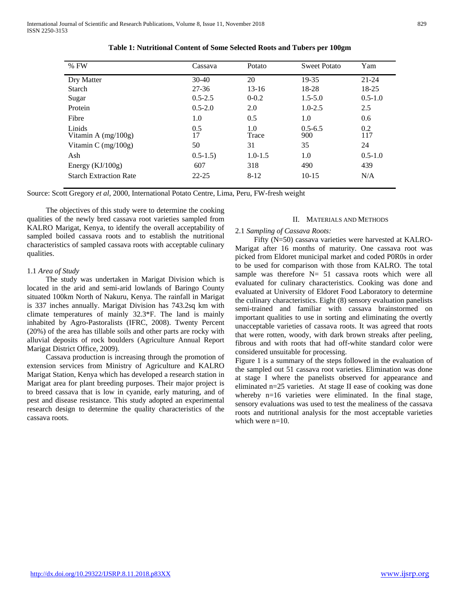| $%$ FW                          | Cassava     | Potato       | <b>Sweet Potato</b> | Yam         |
|---------------------------------|-------------|--------------|---------------------|-------------|
| Dry Matter                      | $30-40$     | 20           | 19-35               | $21 - 24$   |
| Starch                          | $27 - 36$   | $13-16$      | 18-28               | 18-25       |
| Sugar                           | $0.5 - 2.5$ | $0 - 0.2$    | $1.5 - 5.0$         | $0.5 - 1.0$ |
| Protein                         | $0.5 - 2.0$ | 2.0          | $1.0 - 2.5$         | 2.5         |
| Fibre                           | 1.0         | 0.5          | 1.0                 | 0.6         |
| Lipids<br>Vitamin A $(mg/100g)$ | 0.5<br>17   | 1.0<br>Trace | $0.5 - 6.5$<br>900  | 0.2<br>117  |
| Vitamin C $(mg/100g)$           | 50          | 31           | 35                  | 24          |
| Ash                             | $0.5 - 1.5$ | $1.0 - 1.5$  | 1.0                 | $0.5 - 1.0$ |
| Energy $(KJ/100g)$              | 607         | 318          | 490                 | 439         |
| <b>Starch Extraction Rate</b>   | $22 - 25$   | $8 - 12$     | $10-15$             | N/A         |

| Table 1: Nutritional Content of Some Selected Roots and Tubers per 100gm |  |
|--------------------------------------------------------------------------|--|
|--------------------------------------------------------------------------|--|

Source: Scott Gregory *et al*, 2000, International Potato Centre, Lima, Peru, FW-fresh weight

 The objectives of this study were to determine the cooking qualities of the newly bred cassava root varieties sampled from KALRO Marigat, Kenya, to identify the overall acceptability of sampled boiled cassava roots and to establish the nutritional characteristics of sampled cassava roots with acceptable culinary qualities.

## 1.1 *Area of Study*

 The study was undertaken in Marigat Division which is located in the arid and semi-arid lowlands of Baringo County situated 100km North of Nakuru, Kenya. The rainfall in Marigat is 337 inches annually. Marigat Division has 743.2sq km with climate temperatures of mainly 32.3\*F. The land is mainly inhabited by Agro-Pastoralists (IFRC, 2008). Twenty Percent (20%) of the area has tillable soils and other parts are rocky with alluvial deposits of rock boulders (Agriculture Annual Report Marigat District Office, 2009).

 Cassava production is increasing through the promotion of extension services from Ministry of Agriculture and KALRO Marigat Station, Kenya which has developed a research station in Marigat area for plant breeding purposes. Their major project is to breed cassava that is low in cyanide, early maturing, and of pest and disease resistance. This study adopted an experimental research design to determine the quality characteristics of the cassava roots.

## II. MATERIALS AND METHODS

#### 2.1 *Sampling of Cassava Roots:*

 Fifty (N=50) cassava varieties were harvested at KALRO-Marigat after 16 months of maturity. One cassava root was picked from Eldoret municipal market and coded P0R0s in order to be used for comparison with those from KALRO. The total sample was therefore N= 51 cassava roots which were all evaluated for culinary characteristics. Cooking was done and evaluated at University of Eldoret Food Laboratory to determine the culinary characteristics. Eight (8) sensory evaluation panelists semi-trained and familiar with cassava brainstormed on important qualities to use in sorting and eliminating the overtly unacceptable varieties of cassava roots. It was agreed that roots that were rotten, woody, with dark brown streaks after peeling, fibrous and with roots that had off-white standard color were considered unsuitable for processing.

Figure 1 is a summary of the steps followed in the evaluation of the sampled out 51 cassava root varieties. Elimination was done at stage I where the panelists observed for appearance and eliminated n=25 varieties. At stage II ease of cooking was done whereby n=16 varieties were eliminated. In the final stage, sensory evaluations was used to test the mealiness of the cassava roots and nutritional analysis for the most acceptable varieties which were n=10.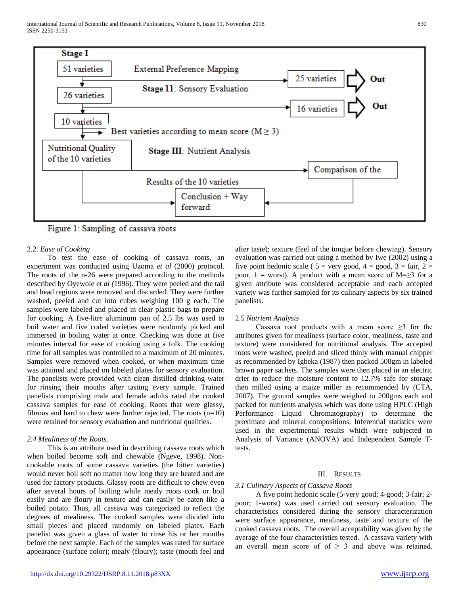

Figure 1: Sampling of cassava roots

## 2.2*. Ease of Cooking*

 To test the ease of cooking of cassava roots, an experiment was conducted using Uzoma *et al* (2000) protocol. The roots of the n-26 were prepared according to the methods described by Oyewole *et al (*1996). They were peeled and the tail and head regions were removed and discarded. They were further washed, peeled and cut into cubes weighing 100 g each. The samples were labeled and placed in clear plastic bags to prepare for cooking. A five-litre aluminum pan of 2.5 lbs was used to boil water and five coded varieties were randomly picked and immersed in boiling water at once. Checking was done at five minutes interval for ease of cooking using a folk. The cooking time for all samples was controlled to a maximum of 20 minutes. Samples were removed when cooked, or when maximum time was attained and placed on labeled plates for sensory evaluation. The panelists were provided with clean distilled drinking water for rinsing their mouths after tasting every sample. Trained panelists comprising male and female adults rated the cooked cassava samples for ease of cooking. Roots that were glassy, fibrous and hard to chew were further rejected. The roots (n=10) were retained for sensory evaluation and nutritional qualities.

## *2.4 Mealiness of the Roots.*

 This is an attribute used in describing cassava roots which when boiled become soft and chewable (Ngeve, 1998). Noncookable roots of some cassava varieties (the bitter varieties) would never boil soft no matter how long they are heated and are used for factory products. Glassy roots are difficult to chew even after several hours of boiling while mealy roots cook or boil easily and are floury in texture and can easily be eaten like a boiled potato. Thus, all cassava was categorized to reflect the degrees of mealiness. The cooked samples were divided into small pieces and placed randomly on labeled plates. Each panelist was given a glass of water to rinse his or her mouths before the next sample. Each of the samples was rated for surface appearance (surface color); mealy (floury); taste (mouth feel and after taste); texture (feel of the tongue before chewing). Sensory evaluation was carried out using a method by Iwe (2002) using a

five point hedonic scale (  $5 = \text{very good}, 4 = \text{good}, 3 = \text{fair}, 2 = \text{query}$ poor,  $1 =$  worst). A product with a mean score of M= $\geq$ 3 for a given attribute was considered acceptable and each accepted variety was further sampled for its culinary aspects by six trained panelists.

#### 2.5 *Nutrient Analysis*

Cassava root products with a mean score  $\geq$ 3 for the attributes given for mealiness (surface color, mealiness, taste and texture) were considered for nutritional analysis. The accepted roots were washed, peeled and sliced thinly with manual chipper as recommended by Igbeka (1987) then packed 500gm in labeled brown paper sachets. The samples were then placed in an electric drier to reduce the moisture content to 12.7% safe for storage then milled using a maize miller as recommended by (CTA, 2007). The ground samples were weighed to 200gms each and packed for nutrients analysis which was done using HPLC (High Performance Liquid Chromatography) to determine the proximate and mineral compositions. Inferential statistics were used in the experimental results which were subjected to Analysis of Variance (ANOVA) and Independent Sample Ttests.

### III. RESULTS

#### *3.1 Culinary Aspects of Cassava Roots*

 A five point hedonic scale (5-very good; 4-good; 3-fair; 2 poor; 1-worst) was used carried out sensory evaluation. The characteristics considered during the sensory characterization were surface appearance, mealiness, taste and texture of the cooked cassava roots. The overall acceptability was given by the average of the four characteristics tested. A cassava variety with an overall mean score of of  $\geq$  3 and above was retained.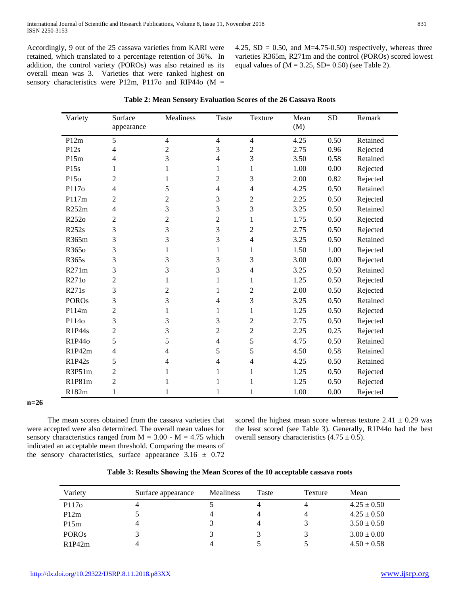Accordingly, 9 out of the 25 cassava varieties from KARI were retained, which translated to a percentage retention of 36%. In addition, the control variety (POROs) was also retained as its overall mean was 3. Varieties that were ranked highest on sensory characteristics were P12m, P117o and RIP44o (M =

4.25,  $SD = 0.50$ , and M=4.75-0.50) respectively, whereas three varieties R365m, R271m and the control (POROs) scored lowest equal values of  $(M = 3.25, SD = 0.50)$  (see Table 2).

| Variety      | Surface        | Mealiness      | Taste                    | Texture        | Mean | <b>SD</b> | Remark   |
|--------------|----------------|----------------|--------------------------|----------------|------|-----------|----------|
|              | appearance     |                |                          |                | (M)  |           |          |
| P12m         | 5              | $\overline{4}$ | $\overline{4}$           | $\overline{4}$ | 4.25 | 0.50      | Retained |
| P12s         | 4              | $\overline{c}$ | 3                        | $\overline{2}$ | 2.75 | 0.96      | Rejected |
| P15m         | 4              | 3              | $\overline{\mathcal{L}}$ | 3              | 3.50 | 0.58      | Retained |
| P15s         | 1              | 1              | 1                        | 1              | 1.00 | 0.00      | Rejected |
| P15o         | $\overline{c}$ | 1              | $\mathfrak{2}$           | 3              | 2.00 | 0.82      | Rejected |
| P117o        | 4              | 5              | 4                        | 4              | 4.25 | 0.50      | Retained |
| P117m        | 2              | $\overline{c}$ | 3                        | $\overline{2}$ | 2.25 | 0.50      | Rejected |
| R252m        | 4              | 3              | 3                        | 3              | 3.25 | 0.50      | Retained |
| R252o        | $\overline{2}$ | $\overline{c}$ | $\overline{c}$           | $\mathbf{1}$   | 1.75 | 0.50      | Rejected |
| R252s        | 3              | 3              | 3                        | $\mathfrak{2}$ | 2.75 | 0.50      | Rejected |
| R365m        | 3              | 3              | 3                        | 4              | 3.25 | 0.50      | Retained |
| R365o        | 3              | 1              | 1                        | 1              | 1.50 | 1.00      | Rejected |
| R365s        | 3              | 3              | 3                        | 3              | 3.00 | 0.00      | Rejected |
| R271m        | 3              | 3              | 3                        | 4              | 3.25 | 0.50      | Retained |
| R271o        | $\overline{c}$ | 1              | 1                        | $\mathbf{1}$   | 1.25 | 0.50      | Rejected |
| R271s        | 3              | 2              | 1                        | $\overline{2}$ | 2.00 | 0.50      | Rejected |
| <b>POROs</b> | 3              | 3              | 4                        | $\mathfrak{Z}$ | 3.25 | 0.50      | Retained |
| P114m        | $\overline{c}$ | 1              | 1                        | $\mathbf{1}$   | 1.25 | 0.50      | Rejected |
| P114o        | 3              | 3              | 3                        | $\overline{c}$ | 2.75 | 0.50      | Rejected |
| R1P44s       | 2              | 3              | 2                        | $\overline{c}$ | 2.25 | 0.25      | Rejected |
| R1P44o       | 5              | 5              | $\overline{4}$           | 5              | 4.75 | 0.50      | Retained |
| R1P42m       | 4              | 4              | 5                        | 5              | 4.50 | 0.58      | Retained |
| R1P42s       | 5              | 4              | 4                        | 4              | 4.25 | 0.50      | Retained |
| R3P51m       | 2              | 1              | 1                        | 1              | 1.25 | 0.50      | Rejected |
| R1P81m       | $\overline{c}$ |                | 1                        | 1              | 1.25 | 0.50      | Rejected |
| R182m        | 1              | 1              | 1                        | 1              | 1.00 | 0.00      | Rejected |

**n=26**

 The mean scores obtained from the cassava varieties that were accepted were also determined. The overall mean values for sensory characteristics ranged from  $M = 3.00 - M = 4.75$  which indicated an acceptable mean threshold. Comparing the means of the sensory characteristics, surface appearance  $3.16 \pm 0.72$  scored the highest mean score whereas texture  $2.41 \pm 0.29$  was the least scored (see Table 3). Generally, R1P44o had the best overall sensory characteristics  $(4.75 \pm 0.5)$ .

| Variety           | Surface appearance | <b>Mealiness</b> | Taste | Texture | Mean            |
|-------------------|--------------------|------------------|-------|---------|-----------------|
| P117 <sub>0</sub> |                    |                  |       | 4       | $4.25 \pm 0.50$ |
| P12m              |                    |                  | 4     | 4       | $4.25 \pm 0.50$ |
| P15m              |                    |                  | 4     |         | $3.50 \pm 0.58$ |
| <b>POROs</b>      |                    |                  |       |         | $3.00 \pm 0.00$ |
| R1P42m            |                    |                  |       |         | $4.50 \pm 0.58$ |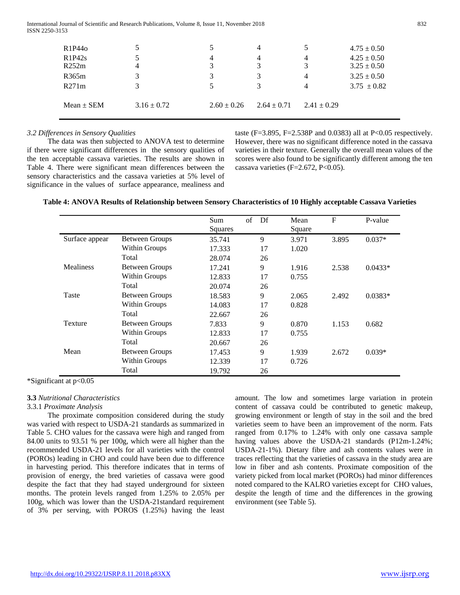International Journal of Scientific and Research Publications, Volume 8, Issue 11, November 2018 832 ISSN 2250-3153

| R <sub>1</sub> P <sub>44</sub> o |                 |                 | 4               |                 | $4.75 \pm 0.50$ |
|----------------------------------|-----------------|-----------------|-----------------|-----------------|-----------------|
| R1P42s                           |                 | 4               | 4               | 4               | $4.25 \pm 0.50$ |
| R252m                            |                 |                 | 3               |                 | $3.25 \pm 0.50$ |
| R365m                            |                 |                 | 3               | 4               | $3.25 \pm 0.50$ |
| R271m                            |                 |                 | 3               | 4               | $3.75 \pm 0.82$ |
| $Mean \pm SEM$                   | $3.16 \pm 0.72$ | $2.60 \pm 0.26$ | $2.64 \pm 0.71$ | $2.41 \pm 0.29$ |                 |

## *3.2 Differences in Sensory Qualities*

 The data was then subjected to ANOVA test to determine if there were significant differences in the sensory qualities of the ten acceptable cassava varieties. The results are shown in Table 4. There were significant mean differences between the sensory characteristics and the cassava varieties at 5% level of significance in the values of surface appearance, mealiness and

taste (F=3.895, F=2.538P and 0.0383) all at P<0.05 respectively. However, there was no significant difference noted in the cassava varieties in their texture. Generally the overall mean values of the scores were also found to be significantly different among the ten cassava varieties (F=2.672, P<0.05).

|                  |                       | Sum<br>Squares | of<br>Df | Mean<br>Square | F     | P-value   |
|------------------|-----------------------|----------------|----------|----------------|-------|-----------|
| Surface appear   | <b>Between Groups</b> | 35.741         | 9        | 3.971          | 3.895 | $0.037*$  |
|                  | Within Groups         | 17.333         | 17       | 1.020          |       |           |
|                  | Total                 | 28.074         | 26       |                |       |           |
| <b>Mealiness</b> | <b>Between Groups</b> | 17.241         | 9        | 1.916          | 2.538 | $0.0433*$ |
|                  | Within Groups         | 12.833         | 17       | 0.755          |       |           |
|                  | Total                 | 20.074         | 26       |                |       |           |
| Taste            | <b>Between Groups</b> | 18.583         | 9        | 2.065          | 2.492 | $0.0383*$ |
|                  | Within Groups         | 14.083         | 17       | 0.828          |       |           |
|                  | Total                 | 22.667         | 26       |                |       |           |
| Texture          | <b>Between Groups</b> | 7.833          | 9        | 0.870          | 1.153 | 0.682     |
|                  | Within Groups         | 12.833         | 17       | 0.755          |       |           |
|                  | Total                 | 20.667         | 26       |                |       |           |
| Mean             | <b>Between Groups</b> | 17.453         | 9        | 1.939          | 2.672 | $0.039*$  |
|                  | Within Groups         | 12.339         | 17       | 0.726          |       |           |
|                  | Total                 | 19.792         | 26       |                |       |           |

| Table 4: ANOVA Results of Relationship between Sensory Characteristics of 10 Highly acceptable Cassava Varieties |  |  |
|------------------------------------------------------------------------------------------------------------------|--|--|
|                                                                                                                  |  |  |

\*Significant at p<0.05

## **3.3** *Nutritional Characteristics*

#### 3.3.1 *Proximate Analysis*

 The proximate composition considered during the study was varied with respect to USDA-21 standards as summarized in Table 5. CHO values for the cassava were high and ranged from 84.00 units to 93.51 % per 100g, which were all higher than the recommended USDA-21 levels for all varieties with the control (POROs) leading in CHO and could have been due to difference in harvesting period. This therefore indicates that in terms of provision of energy, the bred varieties of cassava were good despite the fact that they had stayed underground for sixteen months. The protein levels ranged from 1.25% to 2.05% per 100g, which was lower than the USDA-21standard requirement of 3% per serving, with POROS (1.25%) having the least amount. The low and sometimes large variation in protein content of cassava could be contributed to genetic makeup, growing environment or length of stay in the soil and the bred varieties seem to have been an improvement of the norm. Fats ranged from 0.17% to 1.24% with only one cassava sample having values above the USDA-21 standards (P12m-1.24%; USDA-21-1%). Dietary fibre and ash contents values were in traces reflecting that the varieties of cassava in the study area are low in fiber and ash contents. Proximate composition of the variety picked from local market (POROs) had minor differences noted compared to the KALRO varieties except for CHO values, despite the length of time and the differences in the growing environment (see Table 5).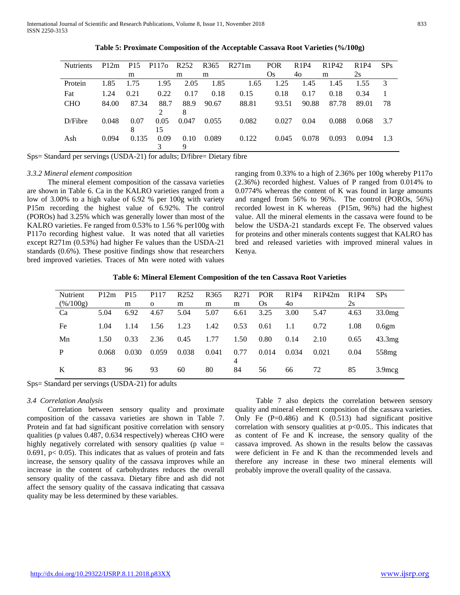| <b>Nutrients</b> | P12m  | P <sub>15</sub> | P117 <sub>0</sub> | R252  | R <sub>365</sub> | R271m | <b>POR</b> | R1P4  | R <sub>1</sub> P <sub>42</sub> | R <sub>1</sub> P <sub>4</sub> | SPs |
|------------------|-------|-----------------|-------------------|-------|------------------|-------|------------|-------|--------------------------------|-------------------------------|-----|
|                  |       | m               |                   | m     | m                |       | Os         | 40    | m                              | 2s                            |     |
| Protein          | 1.85  | 1.75            | 1.95              | 2.05  | 1.85             | 1.65  | 1.25       | 1.45  | 1.45                           | 1.55                          | 3   |
| Fat              | 1.24  | 0.21            | 0.22              | 0.17  | 0.18             | 0.15  | 0.18       | 0.17  | 0.18                           | 0.34                          |     |
| <b>CHO</b>       | 84.00 | 87.34           | 88.7              | 88.9  | 90.67            | 88.81 | 93.51      | 90.88 | 87.78                          | 89.01                         | 78  |
|                  |       |                 |                   | 8     |                  |       |            |       |                                |                               |     |
| D/Fibre          | 0.048 | 0.07            | 0.05              | 0.047 | 0.055            | 0.082 | 0.027      | 0.04  | 0.088                          | 0.068                         | 3.7 |
|                  |       |                 | 15                |       |                  |       |            |       |                                |                               |     |
| Ash              | 0.094 | 0.135           | 0.09              | 0.10  | 0.089            | 0.122 | 0.045      | 0.078 | 0.093                          | 0.094                         | 1.3 |
|                  |       |                 |                   | 9     |                  |       |            |       |                                |                               |     |

**Table 5: Proximate Composition of the Acceptable Cassava Root Varieties (%/100g)**

Sps= Standard per servings (USDA-21) for adults; D/fibre= Dietary fibre

## *3.3.2 Mineral element composition*

 The mineral element composition of the cassava varieties are shown in Table 6. Ca in the KALRO varieties ranged from a low of 3.00% to a high value of 6.92 % per 100g with variety P15m recording the highest value of 6.92%. The control (POROs) had 3.25% which was generally lower than most of the KALRO varieties. Fe ranged from 0.53% to 1.56 % per100g with P117o recording highest value. It was noted that all varieties except R271m (0.53%) had higher Fe values than the USDA-21 standards (0.6%). These positive findings show that researchers bred improved varieties. Traces of Mn were noted with values

ranging from 0.33% to a high of 2.36% per 100g whereby P117o (2.36%) recorded highest. Values of P ranged from 0.014% to 0.0774% whereas the content of K was found in large amounts and ranged from 56% to 96%. The control (POROs, 56%) recorded lowest in K whereas (P15m, 96%) had the highest value. All the mineral elements in the cassava were found to be below the USDA-21 standards except Fe. The observed values for proteins and other minerals contents suggest that KALRO has bred and released varieties with improved mineral values in Kenya.

| Table 6: Mineral Element Composition of the ten Cassava Root Varieties |  |  |  |
|------------------------------------------------------------------------|--|--|--|
|------------------------------------------------------------------------|--|--|--|

| P12m  | P <sub>15</sub> | P <sub>117</sub> | R <sub>252</sub> | R <sub>365</sub> | R <sub>271</sub> | <b>POR</b> | R1P4  | R1P42m | R1P4 | SPs                |
|-------|-----------------|------------------|------------------|------------------|------------------|------------|-------|--------|------|--------------------|
|       | m               | $\Omega$         | m                | m                | m                | Os         | 40    |        | 2s   |                    |
| 5.04  | 6.92            | 4.67             | 5.04             | 5.07             | 6.61             | 3.25       | 3.00  | 5.47   | 4.63 | 33.0 <sub>mg</sub> |
| 1.04  | 1.14            | 1.56             | 1.23             | 1.42             | 0.53             | 0.61       | 1.1   | 0.72   | 1.08 | 0.6 <sub>gm</sub>  |
| 1.50  | 0.33            | 2.36             | 0.45             | 1.77             | 1.50             | 0.80       | 0.14  | 2.10   | 0.65 | 43.3mg             |
| 0.068 | 0.030           | 0.059            | 0.038            | 0.041            | 0.77             | 0.014      | 0.034 | 0.021  | 0.04 | 558 <sub>mg</sub>  |
| 83    | 96              | 93               | 60               | 80               | 4<br>84          | 56         | 66    | 72     | 85   | $3.9 \text{mcg}$   |
|       |                 |                  |                  |                  |                  |            |       |        |      |                    |

Sps= Standard per servings (USDA-21) for adults

## *3.4 Correlation Analysis*

 Correlation between sensory quality and proximate composition of the cassava varieties are shown in Table 7. Protein and fat had significant positive correlation with sensory qualities (p values 0.487, 0.634 respectively) whereas CHO were highly negatively correlated with sensory qualities (p value  $=$ 0.691,  $p < 0.05$ ). This indicates that as values of protein and fats increase, the sensory quality of the cassava improves while an increase in the content of carbohydrates reduces the overall sensory quality of the cassava. Dietary fibre and ash did not affect the sensory quality of the cassava indicating that cassava quality may be less determined by these variables.

 Table 7 also depicts the correlation between sensory quality and mineral element composition of the cassava varieties. Only Fe  $(P=0.486)$  and K  $(0.513)$  had significant positive correlation with sensory qualities at  $p<0.05$ . This indicates that as content of Fe and K increase, the sensory quality of the cassava improved. As shown in the results below the cassavas were deficient in Fe and K than the recommended levels and therefore any increase in these two mineral elements will probably improve the overall quality of the cassava.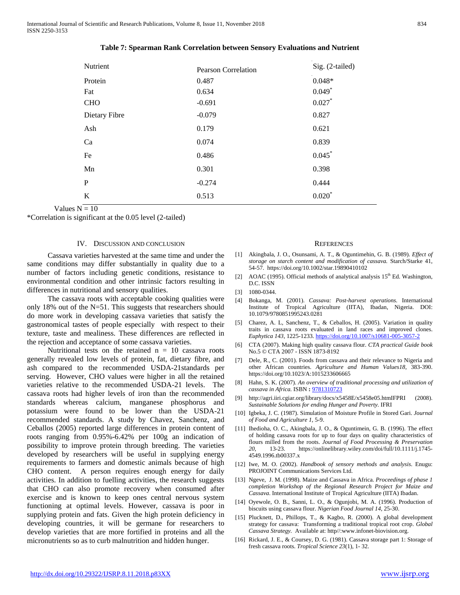| Nutrient      | <b>Pearson Correlation</b> | Sig. (2-tailed) |  |
|---------------|----------------------------|-----------------|--|
| Protein       | 0.487                      | $0.048*$        |  |
| Fat           | 0.634                      | $0.049*$        |  |
| <b>CHO</b>    | $-0.691$                   | $0.027*$        |  |
| Dietary Fibre | $-0.079$                   | 0.827           |  |
| Ash           | 0.179                      | 0.621           |  |
| Ca            | 0.074                      | 0.839           |  |
| Fe            | 0.486                      | 0.045           |  |
| Mn            | 0.301                      | 0.398           |  |
| $\mathbf P$   | $-0.274$                   | 0.444           |  |
| K             | 0.513                      | $0.020*$        |  |

| Table 7: Spearman Rank Correlation between Sensory Evaluations and Nutrient |  |  |  |  |
|-----------------------------------------------------------------------------|--|--|--|--|
|-----------------------------------------------------------------------------|--|--|--|--|

Values  $N = 10$ 

\*Correlation is significant at the 0.05 level (2-tailed)

#### IV. DISCUSSION AND CONCLUSION

 Cassava varieties harvested at the same time and under the same conditions may differ substantially in quality due to a number of factors including genetic conditions, resistance to environmental condition and other intrinsic factors resulting in differences in nutritional and sensory qualities.

 The cassava roots with acceptable cooking qualities were only 18% out of the N=51. This suggests that researchers should do more work in developing cassava varieties that satisfy the gastronomical tastes of people especially with respect to their texture, taste and mealiness. These differences are reflected in the rejection and acceptance of some cassava varieties.

Nutritional tests on the retained  $n = 10$  cassava roots generally revealed low levels of protein, fat, dietary fibre, and ash compared to the recommended USDA-21standards per serving. However, CHO values were higher in all the retained varieties relative to the recommended USDA-21 levels. The cassava roots had higher levels of iron than the recommended standards whereas calcium, manganese phosphorus and potassium were found to be lower than the USDA-21 recommended standards. A study by Chavez, Sanchenz, and Ceballos (2005) reported large differences in protein content of roots ranging from 0.95%-6.42% per 100g an indication of possibility to improve protein through breeding. The varieties developed by researchers will be useful in supplying energy requirements to farmers and domestic animals because of high CHO content. A person requires enough energy for daily activities. In addition to fuelling activities, the research suggests that CHO can also promote recovery when consumed after exercise and is known to keep ones central nervous system functioning at optimal levels. However, cassava is poor in supplying protein and fats. Given the high protein deficiency in developing countries, it will be germane for researchers to develop varieties that are more fortified in proteins and all the micronutrients so as to curb malnutrition and hidden hunger.

#### **REFERENCES**

- [1] Akingbala, J. O., Osunsami, A. T., & Oguntimehin, G. B. (1989). *Effect of storage on starch content and modification of cassava.* Starch/Starke 41, 54-57. https://doi.org/10.1002/star.19890410102
- [2] AOAC (1995). Official methods of analytical analysis  $15<sup>th</sup>$  Ed. Washington, D.C. ISSN
- [3] 1080-0344.
- [4] Bokanga, M. (2001). *Cassava: Post-harvest operations.* International Institute of Tropical Agriculture (IITA), Ibadan, Nigeria. DOI: 10.1079/9780851995243.0281
- [5] Charez, A. L, Sanchenz, T., & Ceballos, H. (2005). Variation in quality traits in cassava roots evaluated in land races and improved clones. *Euphytica 143,* 1225-1233[. https://doi.org/10.1007/s10681-005-3057-2](https://doi.org/10.1007/s10681-005-3057-2)
- [6] CTA (2007). Making high quality cassava flour. *CTA practical Guide book* No.5 © CTA 2007 - ISSN 1873-8192
- [7] Dele, R., C. (2001). Foods from cassava and their relevance to Nigeria and other African countries. *Agriculture and Human Values18*, 383-390. https://doi.org/10.1023/A:1015233606665
- [8] Hahn, S. K. (2007). *An overview of traditional processing and utilization of cassava in Africa.* ISBN **:** [9781310723](https://www.cabdirect.org/cabdirect/search/?q=bn%3a%229781310723%22)
- [9] http://agri.iiri.cgiar.org/library/docs/x5458E/x5458e05.htmIFPRI (2008). *Sustainable Solutions for ending Hunger and Poverty.* IFRI
- [10] Igbeka, J. C. (1987). Simulation of Moisture Profile in Stored Gari. *Journal of Food and Agriculture 1,* 5-9.
- [11] Ihedioha, O. C., Akingbala, J. O., & Oguntimein, G. B. (1996). The effect of holding cassava roots for up to four days on quality characteristics of flours milled from the roots. *Journal of Food Processing & Preservation 20,* 13-23. https://onlinelibrary.wiley.com/doi/full/10.1111/j.1745- 4549.1996.tb00337.x
- [12] Iwe, M. O. (2002). *Handbook of sensory methods and analysis*. Enugu: PROJOINT Communications Services Ltd.
- [13] Ngeve, J. M. (1998). Maize and Cassava in Africa. *Proceedings of phase 1 completion Workshop of the Regional Research Project for Maize and Cassava*. International Institute of Tropical Agriculture (IITA) Ibadan.
- [14] Oyewole, O. B., Sanni, L. O., & Ogunjobi, M. A. (1996). Production of biscuits using cassava flour. *Nigerian Food Journal 14,* 25-30.
- [15] Plucknett, D., Phillops, T., & Kagbo, R. (2000). A global development strategy for cassava: Transforming a traditional tropical root crop. *Global Cassava Strategy.* Available at: http//:www.infonet-biovision.org.
- [16] Rickard, J. E., & Coursey, D. G. (1981). Cassava storage part 1: Storage of fresh cassava roots. *Tropical Science 23*(1), 1- 32.